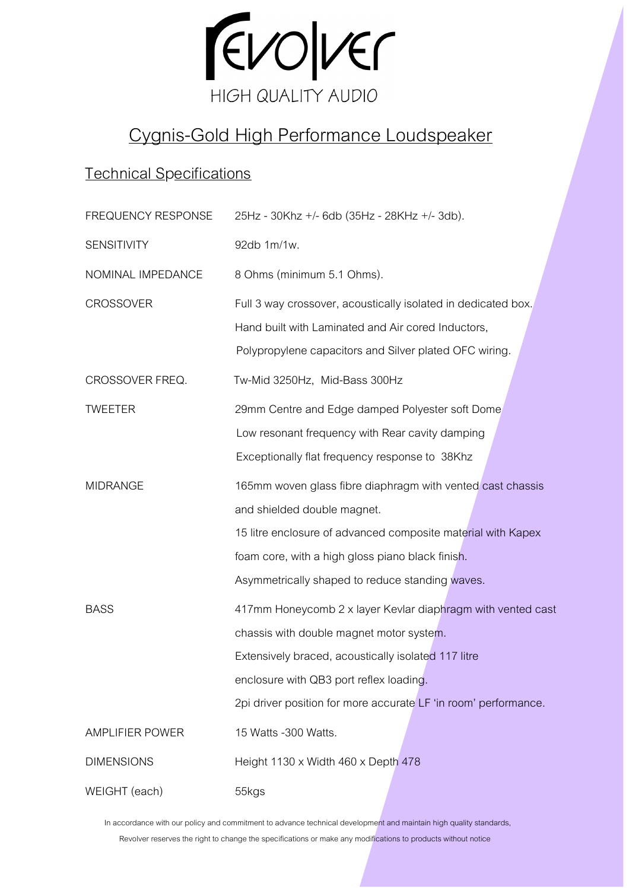

# Cygnis-Gold High Performance Loudspeaker

### Technical Specifications

| FREQUENCY RESPONSE     | 25Hz - 30Khz +/- 6db (35Hz - 28KHz +/- 3db).                    |
|------------------------|-----------------------------------------------------------------|
| SENSITIVITY            | 92db 1m/1w.                                                     |
| NOMINAL IMPEDANCE      | 8 Ohms (minimum 5.1 Ohms).                                      |
| <b>CROSSOVER</b>       | Full 3 way crossover, acoustically isolated in dedicated box.   |
|                        | Hand built with Laminated and Air cored Inductors,              |
|                        | Polypropylene capacitors and Silver plated OFC wiring.          |
| CROSSOVER FREQ.        | Tw-Mid 3250Hz, Mid-Bass 300Hz                                   |
| <b>TWEETER</b>         | 29mm Centre and Edge damped Polyester soft Dome                 |
|                        | Low resonant frequency with Rear cavity damping                 |
|                        | Exceptionally flat frequency response to 38Khz                  |
| <b>MIDRANGE</b>        | 165mm woven glass fibre diaphragm with vented cast chassis      |
|                        | and shielded double magnet.                                     |
|                        | 15 litre enclosure of advanced composite material with Kapex    |
|                        | foam core, with a high gloss piano black finish.                |
|                        | Asymmetrically shaped to reduce standing waves.                 |
| <b>BASS</b>            | 417mm Honeycomb 2 x layer Kevlar diaphragm with vented cast     |
|                        | chassis with double magnet motor system.                        |
|                        | Extensively braced, acoustically isolated 117 litre             |
|                        | enclosure with QB3 port reflex loading.                         |
|                        | 2pi driver position for more accurate LF 'in room' performance. |
| <b>AMPLIFIER POWER</b> | 15 Watts -300 Watts.                                            |
| <b>DIMENSIONS</b>      | Height 1130 x Width 460 x Depth 478                             |
| WEIGHT (each)          | 55kgs                                                           |

In accordance with our policy and commitment to advance technical development and maintain high quality standards,

Revolver reserves the right to change the specifications or make any modifications to products without notice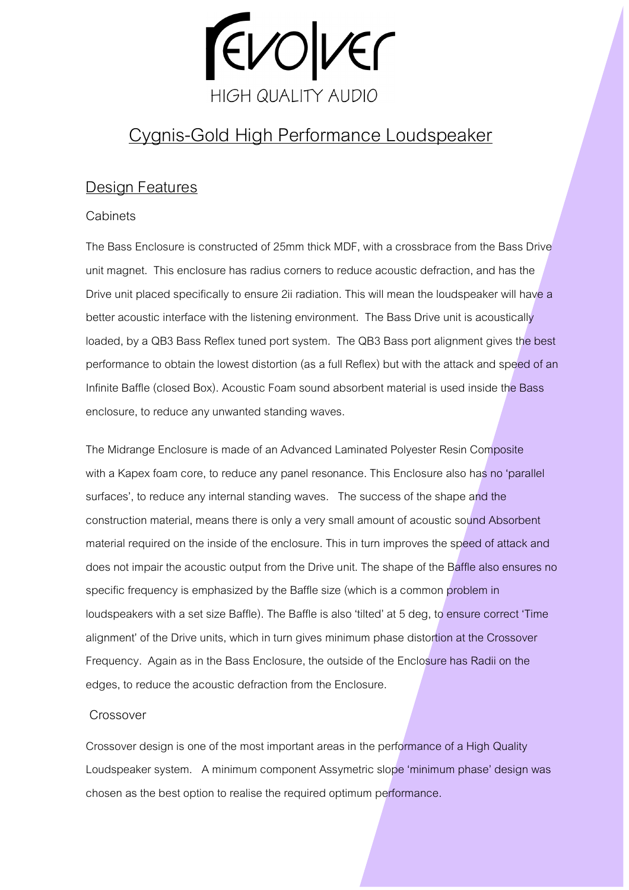

## Cygnis-Gold High Performance Loudspeaker

### Design Features

#### **Cabinets**

The Bass Enclosure is constructed of 25mm thick MDF, with a crossbrace from the Bass Drive unit magnet. This enclosure has radius corners to reduce acoustic defraction, and has the Drive unit placed specifically to ensure 2ii radiation. This will mean the loudspeaker will have a better acoustic interface with the listening environment. The Bass Drive unit is acoustically loaded, by a QB3 Bass Reflex tuned port system. The QB3 Bass port alignment gives the best performance to obtain the lowest distortion (as a full Reflex) but with the attack and speed of an Infinite Baffle (closed Box). Acoustic Foam sound absorbent material is used inside the Bass enclosure, to reduce any unwanted standing waves.

The Midrange Enclosure is made of an Advanced Laminated Polyester Resin Composite with a Kapex foam core, to reduce any panel resonance. This Enclosure also has no 'parallel surfaces', to reduce any internal standing waves. The success of the shape and the construction material, means there is only a very small amount of acoustic sound Absorbent material required on the inside of the enclosure. This in turn improves the speed of attack and does not impair the acoustic output from the Drive unit. The shape of the Baffle also ensures no specific frequency is emphasized by the Baffle size (which is a common problem in loudspeakers with a set size Baffle). The Baffle is also 'tilted' at 5 deg, to ensure correct 'Time alignment' of the Drive units, which in turn gives minimum phase distortion at the Crossover Frequency. Again as in the Bass Enclosure, the outside of the Enclosure has Radii on the edges, to reduce the acoustic defraction from the Enclosure.

#### Crossover

Crossover design is one of the most important areas in the performance of a High Quality Loudspeaker system. A minimum component Assymetric slope 'minimum phase' design was chosen as the best option to realise the required optimum performance.